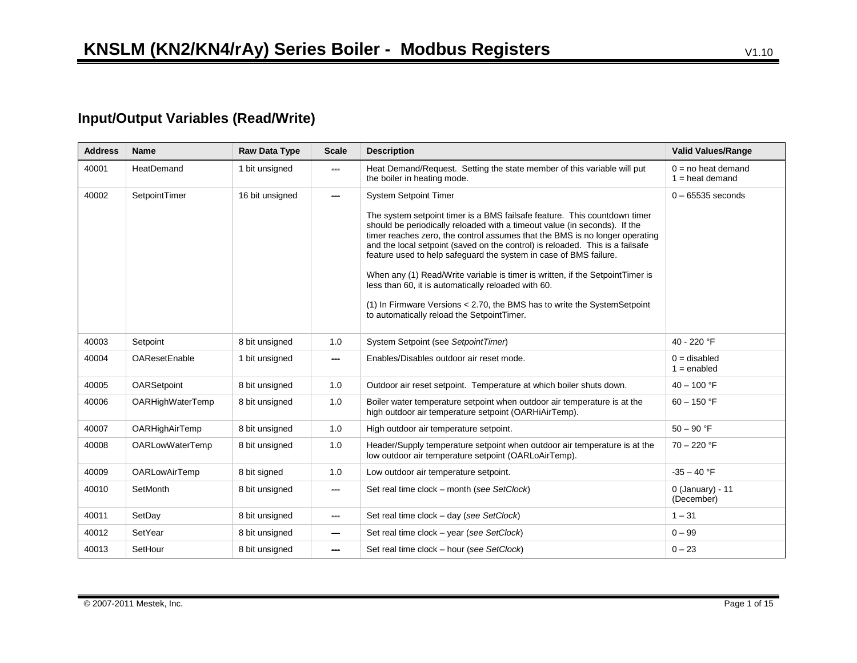## **Input/Output Variables (Read/Write)**

| <b>Address</b> | <b>Name</b>            | Raw Data Type   | <b>Scale</b>             | <b>Description</b>                                                                                                                                                                                                                                                                                                                                                                          | <b>Valid Values/Range</b>                 |
|----------------|------------------------|-----------------|--------------------------|---------------------------------------------------------------------------------------------------------------------------------------------------------------------------------------------------------------------------------------------------------------------------------------------------------------------------------------------------------------------------------------------|-------------------------------------------|
| 40001          | HeatDemand             | 1 bit unsigned  | $\overline{\phantom{a}}$ | Heat Demand/Request. Setting the state member of this variable will put<br>the boiler in heating mode.                                                                                                                                                                                                                                                                                      | $0 = no$ heat demand<br>$1 = heat$ demand |
| 40002          | SetpointTimer          | 16 bit unsigned | $\overline{\phantom{a}}$ | <b>System Setpoint Timer</b>                                                                                                                                                                                                                                                                                                                                                                | $0 - 65535$ seconds                       |
|                |                        |                 |                          | The system setpoint timer is a BMS failsafe feature. This countdown timer<br>should be periodically reloaded with a timeout value (in seconds). If the<br>timer reaches zero, the control assumes that the BMS is no longer operating<br>and the local setpoint (saved on the control) is reloaded. This is a failsafe<br>feature used to help safeguard the system in case of BMS failure. |                                           |
|                |                        |                 |                          | When any (1) Read/Write variable is timer is written, if the SetpointTimer is<br>less than 60, it is automatically reloaded with 60.                                                                                                                                                                                                                                                        |                                           |
|                |                        |                 |                          | (1) In Firmware Versions < 2.70, the BMS has to write the System Setpoint<br>to automatically reload the SetpointTimer.                                                                                                                                                                                                                                                                     |                                           |
| 40003          | Setpoint               | 8 bit unsigned  | 1.0                      | System Setpoint (see SetpointTimer)                                                                                                                                                                                                                                                                                                                                                         | 40 - 220 °F                               |
| 40004          | <b>OAResetEnable</b>   | 1 bit unsigned  | $\hspace{0.05cm}$        | Enables/Disables outdoor air reset mode.                                                                                                                                                                                                                                                                                                                                                    | $0 =$ disabled<br>$1 =$ enabled           |
| 40005          | OARSetpoint            | 8 bit unsigned  | 1.0                      | Outdoor air reset setpoint. Temperature at which boiler shuts down.                                                                                                                                                                                                                                                                                                                         | $40 - 100$ °F                             |
| 40006          | OARHighWaterTemp       | 8 bit unsigned  | 1.0                      | Boiler water temperature setpoint when outdoor air temperature is at the<br>high outdoor air temperature setpoint (OARHiAirTemp).                                                                                                                                                                                                                                                           | $60 - 150$ °F                             |
| 40007          | OARHighAirTemp         | 8 bit unsigned  | 1.0                      | High outdoor air temperature setpoint.                                                                                                                                                                                                                                                                                                                                                      | $50 - 90$ °F                              |
| 40008          | <b>OARLowWaterTemp</b> | 8 bit unsigned  | 1.0                      | Header/Supply temperature setpoint when outdoor air temperature is at the<br>low outdoor air temperature setpoint (OARLoAirTemp).                                                                                                                                                                                                                                                           | $70 - 220$ °F                             |
| 40009          | <b>OARLowAirTemp</b>   | 8 bit signed    | 1.0                      | Low outdoor air temperature setpoint.                                                                                                                                                                                                                                                                                                                                                       | $-35 - 40$ °F                             |
| 40010          | SetMonth               | 8 bit unsigned  | $\overline{\phantom{a}}$ | Set real time clock - month (see SetClock)                                                                                                                                                                                                                                                                                                                                                  | $0$ (January) - 11<br>(December)          |
| 40011          | SetDay                 | 8 bit unsigned  | $\sim$                   | Set real time clock - day (see SetClock)                                                                                                                                                                                                                                                                                                                                                    | $1 - 31$                                  |
| 40012          | SetYear                | 8 bit unsigned  | $\hspace{0.05cm}$        | Set real time clock - year (see SetClock)                                                                                                                                                                                                                                                                                                                                                   | $0 - 99$                                  |
| 40013          | SetHour                | 8 bit unsigned  | حصد                      | Set real time clock - hour (see SetClock)                                                                                                                                                                                                                                                                                                                                                   | $0 - 23$                                  |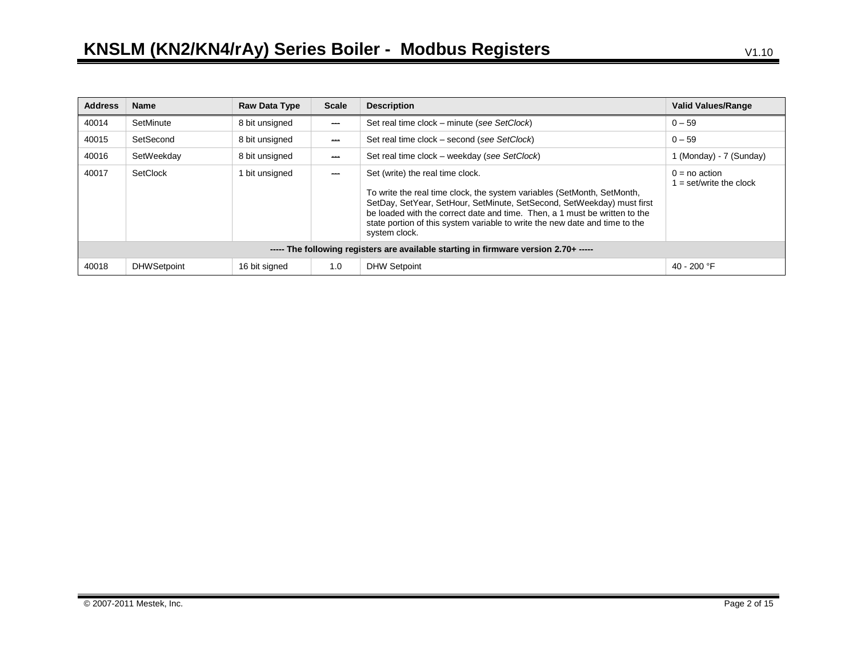| <b>Address</b>                                                                       | <b>Name</b>        | <b>Raw Data Type</b> | <b>Scale</b>   | <b>Description</b>                                                                                                                                                                                                                                                                                                                                                  | <b>Valid Values/Range</b>                  |
|--------------------------------------------------------------------------------------|--------------------|----------------------|----------------|---------------------------------------------------------------------------------------------------------------------------------------------------------------------------------------------------------------------------------------------------------------------------------------------------------------------------------------------------------------------|--------------------------------------------|
| 40014                                                                                | SetMinute          | 8 bit unsigned       | للمست          | Set real time clock – minute (see SetClock)                                                                                                                                                                                                                                                                                                                         | $0 - 59$                                   |
| 40015                                                                                | SetSecond          | 8 bit unsigned       | <b>Service</b> | Set real time clock – second (see SetClock)                                                                                                                                                                                                                                                                                                                         | $0 - 59$                                   |
| 40016                                                                                | SetWeekday         | 8 bit unsigned       | للمست          | Set real time clock – weekday (see SetClock)                                                                                                                                                                                                                                                                                                                        | 1 (Monday) - 7 (Sunday)                    |
| 40017                                                                                | SetClock           | bit unsigned         | <b>ABA</b>     | Set (write) the real time clock.<br>To write the real time clock, the system variables (SetMonth, SetMonth,<br>SetDay, SetYear, SetHour, SetMinute, SetSecond, SetWeekday) must first<br>be loaded with the correct date and time. Then, a 1 must be written to the<br>state portion of this system variable to write the new date and time to the<br>system clock. | $0 = no$ action<br>$=$ set/write the clock |
| ----- The following registers are available starting in firmware version 2.70+ ----- |                    |                      |                |                                                                                                                                                                                                                                                                                                                                                                     |                                            |
| 40018                                                                                | <b>DHWSetpoint</b> | 16 bit signed        | 1.0            | <b>DHW Setpoint</b>                                                                                                                                                                                                                                                                                                                                                 | 40 - 200 $\degree$ F                       |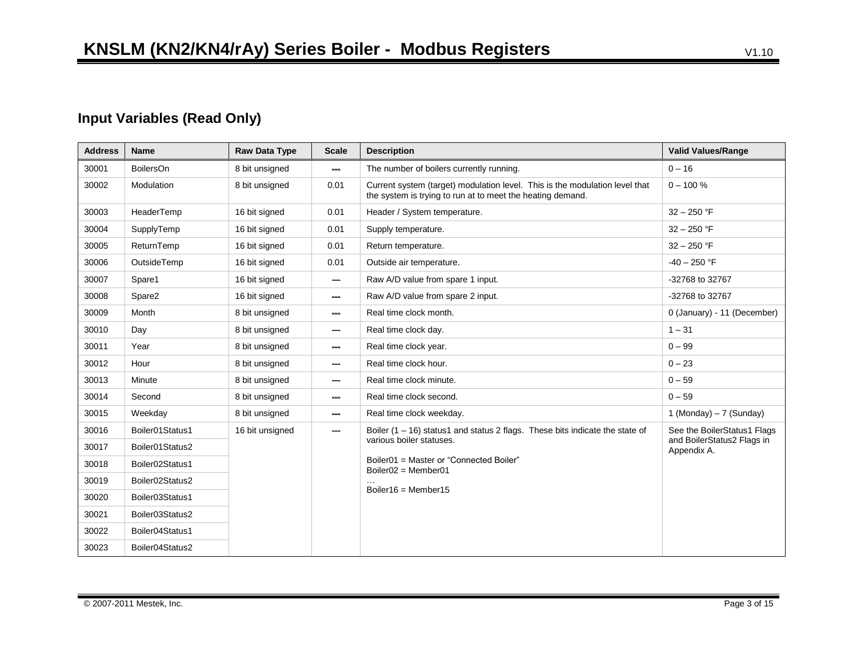## **Input Variables (Read Only)**

| <b>Address</b> | <b>Name</b>      | <b>Raw Data Type</b> | <b>Scale</b>             | <b>Description</b>                                                                                                                        | <b>Valid Values/Range</b>                 |
|----------------|------------------|----------------------|--------------------------|-------------------------------------------------------------------------------------------------------------------------------------------|-------------------------------------------|
| 30001          | <b>BoilersOn</b> | 8 bit unsigned       | $\sim$                   | The number of boilers currently running.                                                                                                  | $0 - 16$                                  |
| 30002          | Modulation       | 8 bit unsigned       | 0.01                     | Current system (target) modulation level. This is the modulation level that<br>the system is trying to run at to meet the heating demand. | $0 - 100 \%$                              |
| 30003          | HeaderTemp       | 16 bit signed        | 0.01                     | Header / System temperature.                                                                                                              | $32 - 250$ °F                             |
| 30004          | SupplyTemp       | 16 bit signed        | 0.01                     | Supply temperature.                                                                                                                       | $32 - 250$ °F                             |
| 30005          | ReturnTemp       | 16 bit signed        | 0.01                     | Return temperature.                                                                                                                       | $32 - 250$ °F                             |
| 30006          | OutsideTemp      | 16 bit signed        | 0.01                     | Outside air temperature.                                                                                                                  | $-40 - 250$ °F                            |
| 30007          | Spare1           | 16 bit signed        | $\overline{\phantom{a}}$ | Raw A/D value from spare 1 input.                                                                                                         | -32768 to 32767                           |
| 30008          | Spare2           | 16 bit signed        | ana.                     | Raw A/D value from spare 2 input.                                                                                                         | -32768 to 32767                           |
| 30009          | Month            | 8 bit unsigned       | ana.                     | Real time clock month.                                                                                                                    | 0 (January) - 11 (December)               |
| 30010          | Day              | 8 bit unsigned       | $\hspace{0.05cm}$        | Real time clock day.                                                                                                                      | $1 - 31$                                  |
| 30011          | Year             | 8 bit unsigned       | $\hspace{0.05cm}$        | Real time clock year.                                                                                                                     | $0 - 99$                                  |
| 30012          | Hour             | 8 bit unsigned       | $\overline{\phantom{a}}$ | Real time clock hour.                                                                                                                     | $0 - 23$                                  |
| 30013          | Minute           | 8 bit unsigned       | $\hspace{0.05cm}$        | Real time clock minute.                                                                                                                   | $0 - 59$                                  |
| 30014          | Second           | 8 bit unsigned       | $\sim$                   | Real time clock second.                                                                                                                   | $0 - 59$                                  |
| 30015          | Weekday          | 8 bit unsigned       | $\frac{1}{2}$            | Real time clock weekday.                                                                                                                  | 1 (Monday) $-7$ (Sunday)                  |
| 30016          | Boiler01Status1  | 16 bit unsigned      | $\hspace{0.5cm}$         | Boiler $(1 - 16)$ status1 and status 2 flags. These bits indicate the state of                                                            | See the BoilerStatus1 Flags               |
| 30017          | Boiler01Status2  |                      |                          | various boiler statuses.                                                                                                                  | and BoilerStatus2 Flags in<br>Appendix A. |
| 30018          | Boiler02Status1  |                      |                          | Boiler01 = Master or "Connected Boiler"<br>Boiler02 = Member01                                                                            |                                           |
| 30019          | Boiler02Status2  |                      |                          |                                                                                                                                           |                                           |
| 30020          | Boiler03Status1  |                      |                          | Boiler16 = Member15                                                                                                                       |                                           |
| 30021          | Boiler03Status2  |                      |                          |                                                                                                                                           |                                           |
| 30022          | Boiler04Status1  |                      |                          |                                                                                                                                           |                                           |
| 30023          | Boiler04Status2  |                      |                          |                                                                                                                                           |                                           |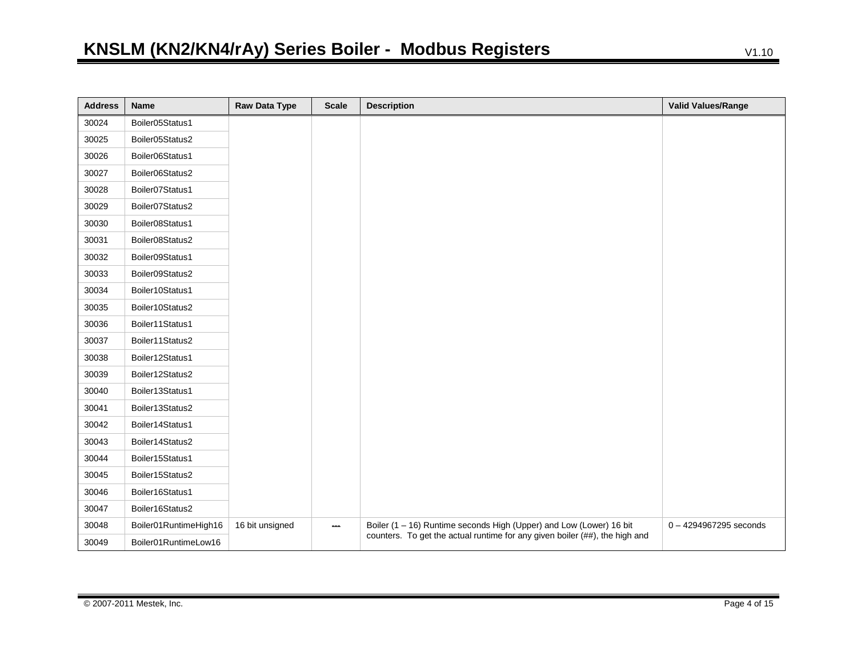| <b>Address</b> | <b>Name</b>           | <b>Raw Data Type</b> | <b>Scale</b> | <b>Description</b>                                                          | <b>Valid Values/Range</b> |
|----------------|-----------------------|----------------------|--------------|-----------------------------------------------------------------------------|---------------------------|
| 30024          | Boiler05Status1       |                      |              |                                                                             |                           |
| 30025          | Boiler05Status2       |                      |              |                                                                             |                           |
| 30026          | Boiler06Status1       |                      |              |                                                                             |                           |
| 30027          | Boiler06Status2       |                      |              |                                                                             |                           |
| 30028          | Boiler07Status1       |                      |              |                                                                             |                           |
| 30029          | Boiler07Status2       |                      |              |                                                                             |                           |
| 30030          | Boiler08Status1       |                      |              |                                                                             |                           |
| 30031          | Boiler08Status2       |                      |              |                                                                             |                           |
| 30032          | Boiler09Status1       |                      |              |                                                                             |                           |
| 30033          | Boiler09Status2       |                      |              |                                                                             |                           |
| 30034          | Boiler10Status1       |                      |              |                                                                             |                           |
| 30035          | Boiler10Status2       |                      |              |                                                                             |                           |
| 30036          | Boiler11Status1       |                      |              |                                                                             |                           |
| 30037          | Boiler11Status2       |                      |              |                                                                             |                           |
| 30038          | Boiler12Status1       |                      |              |                                                                             |                           |
| 30039          | Boiler12Status2       |                      |              |                                                                             |                           |
| 30040          | Boiler13Status1       |                      |              |                                                                             |                           |
| 30041          | Boiler13Status2       |                      |              |                                                                             |                           |
| 30042          | Boiler14Status1       |                      |              |                                                                             |                           |
| 30043          | Boiler14Status2       |                      |              |                                                                             |                           |
| 30044          | Boiler15Status1       |                      |              |                                                                             |                           |
| 30045          | Boiler15Status2       |                      |              |                                                                             |                           |
| 30046          | Boiler16Status1       |                      |              |                                                                             |                           |
| 30047          | Boiler16Status2       |                      |              |                                                                             |                           |
| 30048          | Boiler01RuntimeHigh16 | 16 bit unsigned      | $\sim$       | Boiler (1 - 16) Runtime seconds High (Upper) and Low (Lower) 16 bit         | $0 - 4294967295$ seconds  |
| 30049          | Boiler01RuntimeLow16  |                      |              | counters. To get the actual runtime for any given boiler (##), the high and |                           |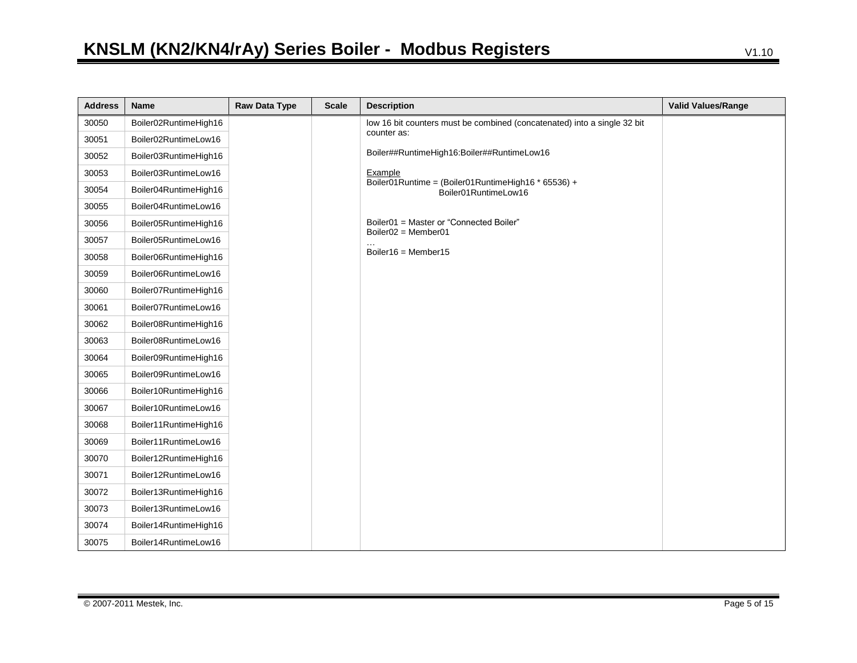| <b>Address</b> | <b>Name</b>           | Raw Data Type | <b>Scale</b> | <b>Description</b>                                                          | <b>Valid Values/Range</b> |
|----------------|-----------------------|---------------|--------------|-----------------------------------------------------------------------------|---------------------------|
| 30050          | Boiler02RuntimeHigh16 |               |              | low 16 bit counters must be combined (concatenated) into a single 32 bit    |                           |
| 30051          | Boiler02RuntimeLow16  |               |              | counter as:                                                                 |                           |
| 30052          | Boiler03RuntimeHigh16 |               |              | Boiler##RuntimeHigh16:Boiler##RuntimeLow16                                  |                           |
| 30053          | Boiler03RuntimeLow16  |               |              | Example                                                                     |                           |
| 30054          | Boiler04RuntimeHigh16 |               |              | Boiler01Runtime = (Boiler01RuntimeHigh16 * 65536) +<br>Boiler01RuntimeLow16 |                           |
| 30055          | Boiler04RuntimeLow16  |               |              |                                                                             |                           |
| 30056          | Boiler05RuntimeHigh16 |               |              | Boiler01 = Master or "Connected Boiler"<br>$Boiler02 = Member01$            |                           |
| 30057          | Boiler05RuntimeLow16  |               |              |                                                                             |                           |
| 30058          | Boiler06RuntimeHigh16 |               |              | Boiler16 = Member15                                                         |                           |
| 30059          | Boiler06RuntimeLow16  |               |              |                                                                             |                           |
| 30060          | Boiler07RuntimeHigh16 |               |              |                                                                             |                           |
| 30061          | Boiler07RuntimeLow16  |               |              |                                                                             |                           |
| 30062          | Boiler08RuntimeHigh16 |               |              |                                                                             |                           |
| 30063          | Boiler08RuntimeLow16  |               |              |                                                                             |                           |
| 30064          | Boiler09RuntimeHigh16 |               |              |                                                                             |                           |
| 30065          | Boiler09RuntimeLow16  |               |              |                                                                             |                           |
| 30066          | Boiler10RuntimeHigh16 |               |              |                                                                             |                           |
| 30067          | Boiler10RuntimeLow16  |               |              |                                                                             |                           |
| 30068          | Boiler11RuntimeHigh16 |               |              |                                                                             |                           |
| 30069          | Boiler11RuntimeLow16  |               |              |                                                                             |                           |
| 30070          | Boiler12RuntimeHigh16 |               |              |                                                                             |                           |
| 30071          | Boiler12RuntimeLow16  |               |              |                                                                             |                           |
| 30072          | Boiler13RuntimeHigh16 |               |              |                                                                             |                           |
| 30073          | Boiler13RuntimeLow16  |               |              |                                                                             |                           |
| 30074          | Boiler14RuntimeHigh16 |               |              |                                                                             |                           |
| 30075          | Boiler14RuntimeLow16  |               |              |                                                                             |                           |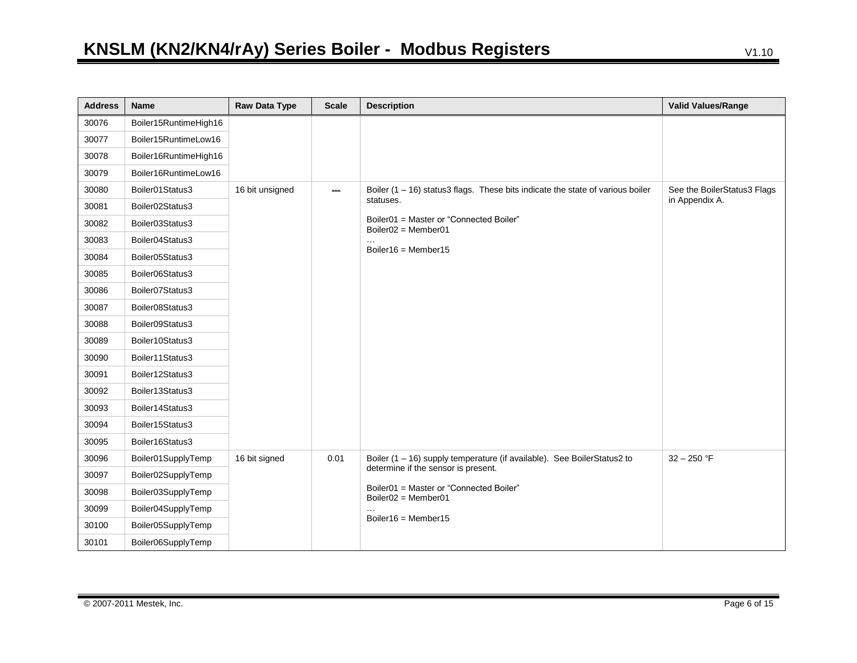| <b>Address</b> | Name                  | <b>Raw Data Type</b> | <b>Scale</b>                        | <b>Description</b>                                                               | <b>Valid Values/Range</b>   |
|----------------|-----------------------|----------------------|-------------------------------------|----------------------------------------------------------------------------------|-----------------------------|
| 30076          | Boiler15RuntimeHigh16 |                      |                                     |                                                                                  |                             |
| 30077          | Boiler15RuntimeLow16  |                      |                                     |                                                                                  |                             |
| 30078          | Boiler16RuntimeHigh16 |                      |                                     |                                                                                  |                             |
| 30079          | Boiler16RuntimeLow16  |                      |                                     |                                                                                  |                             |
| 30080          | Boiler01Status3       | 16 bit unsigned      | لمحمد                               | Boiler $(1 - 16)$ status3 flags. These bits indicate the state of various boiler | See the BoilerStatus3 Flags |
| 30081          | Boiler02Status3       |                      |                                     | statuses.                                                                        | in Appendix A.              |
| 30082          | Boiler03Status3       |                      |                                     | Boiler01 = Master or "Connected Boiler"<br>Boiler02 = Member01                   |                             |
| 30083          | Boiler04Status3       |                      |                                     |                                                                                  |                             |
| 30084          | Boiler05Status3       |                      |                                     | Boiler16 = Member15                                                              |                             |
| 30085          | Boiler06Status3       |                      |                                     |                                                                                  |                             |
| 30086          | Boiler07Status3       |                      |                                     |                                                                                  |                             |
| 30087          | Boiler08Status3       |                      |                                     |                                                                                  |                             |
| 30088          | Boiler09Status3       |                      |                                     |                                                                                  |                             |
| 30089          | Boiler10Status3       |                      |                                     |                                                                                  |                             |
| 30090          | Boiler11Status3       |                      |                                     |                                                                                  |                             |
| 30091          | Boiler12Status3       |                      |                                     |                                                                                  |                             |
| 30092          | Boiler13Status3       |                      |                                     |                                                                                  |                             |
| 30093          | Boiler14Status3       |                      |                                     |                                                                                  |                             |
| 30094          | Boiler15Status3       |                      |                                     |                                                                                  |                             |
| 30095          | Boiler16Status3       |                      |                                     |                                                                                  |                             |
| 30096          | Boiler01SupplyTemp    | 16 bit signed        | 0.01                                | Boiler (1 - 16) supply temperature (if available). See BoilerStatus2 to          | $32 - 250$ °F               |
| 30097          | Boiler02SupplyTemp    |                      | determine if the sensor is present. |                                                                                  |                             |
| 30098          | Boiler03SupplyTemp    |                      |                                     | Boiler01 = Master or "Connected Boiler"<br>Boiler02 = Member01                   |                             |
| 30099          | Boiler04SupplyTemp    |                      |                                     |                                                                                  |                             |
| 30100          | Boiler05SupplyTemp    |                      |                                     | Boiler16 = Member15                                                              |                             |
| 30101          | Boiler06SupplyTemp    |                      |                                     |                                                                                  |                             |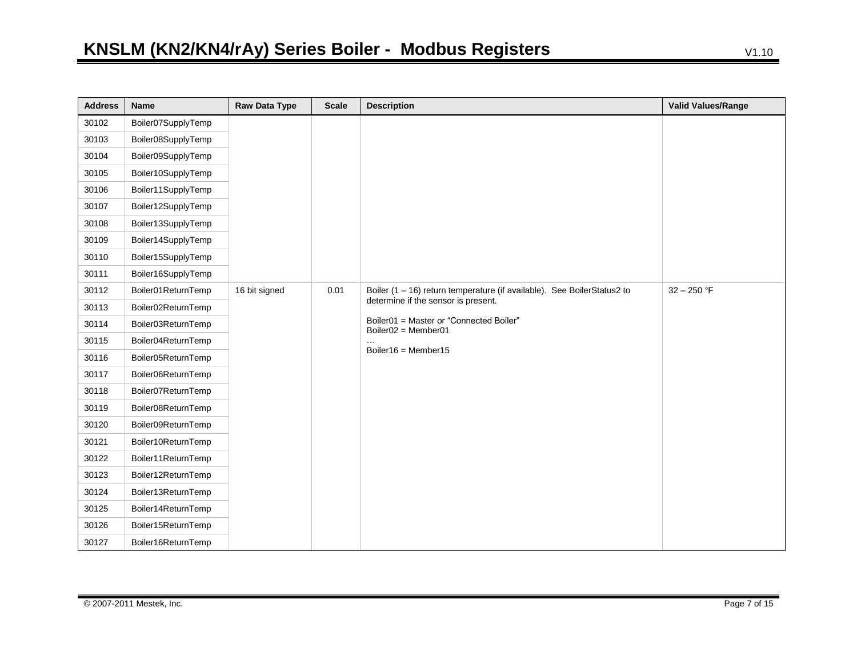| <b>Address</b> | <b>Name</b>        | Raw Data Type | <b>Scale</b> | <b>Description</b>                                                                                                           | <b>Valid Values/Range</b> |
|----------------|--------------------|---------------|--------------|------------------------------------------------------------------------------------------------------------------------------|---------------------------|
| 30102          | Boiler07SupplyTemp |               |              |                                                                                                                              |                           |
| 30103          | Boiler08SupplyTemp |               |              |                                                                                                                              |                           |
| 30104          | Boiler09SupplyTemp |               |              |                                                                                                                              |                           |
| 30105          | Boiler10SupplyTemp |               |              |                                                                                                                              |                           |
| 30106          | Boiler11SupplyTemp |               |              |                                                                                                                              |                           |
| 30107          | Boiler12SupplyTemp |               |              |                                                                                                                              |                           |
| 30108          | Boiler13SupplyTemp |               |              |                                                                                                                              |                           |
| 30109          | Boiler14SupplyTemp |               |              |                                                                                                                              |                           |
| 30110          | Boiler15SupplyTemp |               |              |                                                                                                                              |                           |
| 30111          | Boiler16SupplyTemp |               |              |                                                                                                                              |                           |
| 30112          | Boiler01ReturnTemp | 16 bit signed | 0.01         | Boiler (1 - 16) return temperature (if available). See BoilerStatus2 to                                                      | $32 - 250$ °F             |
| 30113          | Boiler02ReturnTemp |               |              | determine if the sensor is present.<br>Boiler01 = Master or "Connected Boiler"<br>Boiler02 = Member01<br>Boiler16 = Member15 |                           |
| 30114          | Boiler03ReturnTemp |               |              |                                                                                                                              |                           |
| 30115          | Boiler04ReturnTemp |               |              |                                                                                                                              |                           |
| 30116          | Boiler05ReturnTemp |               |              |                                                                                                                              |                           |
| 30117          | Boiler06ReturnTemp |               |              |                                                                                                                              |                           |
| 30118          | Boiler07ReturnTemp |               |              |                                                                                                                              |                           |
| 30119          | Boiler08ReturnTemp |               |              |                                                                                                                              |                           |
| 30120          | Boiler09ReturnTemp |               |              |                                                                                                                              |                           |
| 30121          | Boiler10ReturnTemp |               |              |                                                                                                                              |                           |
| 30122          | Boiler11ReturnTemp |               |              |                                                                                                                              |                           |
| 30123          | Boiler12ReturnTemp |               |              |                                                                                                                              |                           |
| 30124          | Boiler13ReturnTemp |               |              |                                                                                                                              |                           |
| 30125          | Boiler14ReturnTemp |               |              |                                                                                                                              |                           |
| 30126          | Boiler15ReturnTemp |               |              |                                                                                                                              |                           |
| 30127          | Boiler16ReturnTemp |               |              |                                                                                                                              |                           |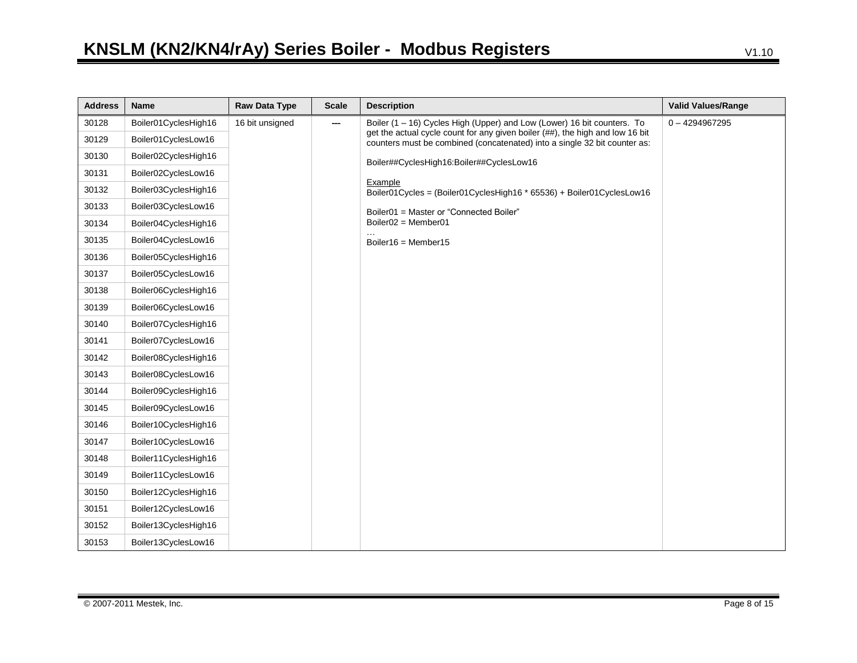| <b>Address</b> | Name                 | Raw Data Type   | <b>Scale</b> | <b>Description</b>                                                                                                                                         | <b>Valid Values/Range</b> |
|----------------|----------------------|-----------------|--------------|------------------------------------------------------------------------------------------------------------------------------------------------------------|---------------------------|
| 30128          | Boiler01CyclesHigh16 | 16 bit unsigned | ---          | Boiler (1 – 16) Cycles High (Upper) and Low (Lower) 16 bit counters. To                                                                                    | $0 - 4294967295$          |
| 30129          | Boiler01CyclesLow16  |                 |              | get the actual cycle count for any given boiler (##), the high and low 16 bit<br>counters must be combined (concatenated) into a single 32 bit counter as: |                           |
| 30130          | Boiler02CyclesHigh16 |                 |              | Boiler##CyclesHigh16:Boiler##CyclesLow16                                                                                                                   |                           |
| 30131          | Boiler02CyclesLow16  |                 |              |                                                                                                                                                            |                           |
| 30132          | Boiler03CyclesHigh16 |                 |              | Example<br>Boiler01Cycles = (Boiler01CyclesHigh16 * 65536) + Boiler01CyclesLow16                                                                           |                           |
| 30133          | Boiler03CyclesLow16  |                 |              | Boiler01 = Master or "Connected Boiler"                                                                                                                    |                           |
| 30134          | Boiler04CyclesHigh16 |                 |              | $Boiler02 = Member01$                                                                                                                                      |                           |
| 30135          | Boiler04CyclesLow16  |                 |              | Boiler16 = Member15                                                                                                                                        |                           |
| 30136          | Boiler05CyclesHigh16 |                 |              |                                                                                                                                                            |                           |
| 30137          | Boiler05CyclesLow16  |                 |              |                                                                                                                                                            |                           |
| 30138          | Boiler06CyclesHigh16 |                 |              |                                                                                                                                                            |                           |
| 30139          | Boiler06CyclesLow16  |                 |              |                                                                                                                                                            |                           |
| 30140          | Boiler07CyclesHigh16 |                 |              |                                                                                                                                                            |                           |
| 30141          | Boiler07CyclesLow16  |                 |              |                                                                                                                                                            |                           |
| 30142          | Boiler08CyclesHigh16 |                 |              |                                                                                                                                                            |                           |
| 30143          | Boiler08CyclesLow16  |                 |              |                                                                                                                                                            |                           |
| 30144          | Boiler09CyclesHigh16 |                 |              |                                                                                                                                                            |                           |
| 30145          | Boiler09CyclesLow16  |                 |              |                                                                                                                                                            |                           |
| 30146          | Boiler10CyclesHigh16 |                 |              |                                                                                                                                                            |                           |
| 30147          | Boiler10CyclesLow16  |                 |              |                                                                                                                                                            |                           |
| 30148          | Boiler11CyclesHigh16 |                 |              |                                                                                                                                                            |                           |
| 30149          | Boiler11CyclesLow16  |                 |              |                                                                                                                                                            |                           |
| 30150          | Boiler12CyclesHigh16 |                 |              |                                                                                                                                                            |                           |
| 30151          | Boiler12CyclesLow16  |                 |              |                                                                                                                                                            |                           |
| 30152          | Boiler13CyclesHigh16 |                 |              |                                                                                                                                                            |                           |
| 30153          | Boiler13CyclesLow16  |                 |              |                                                                                                                                                            |                           |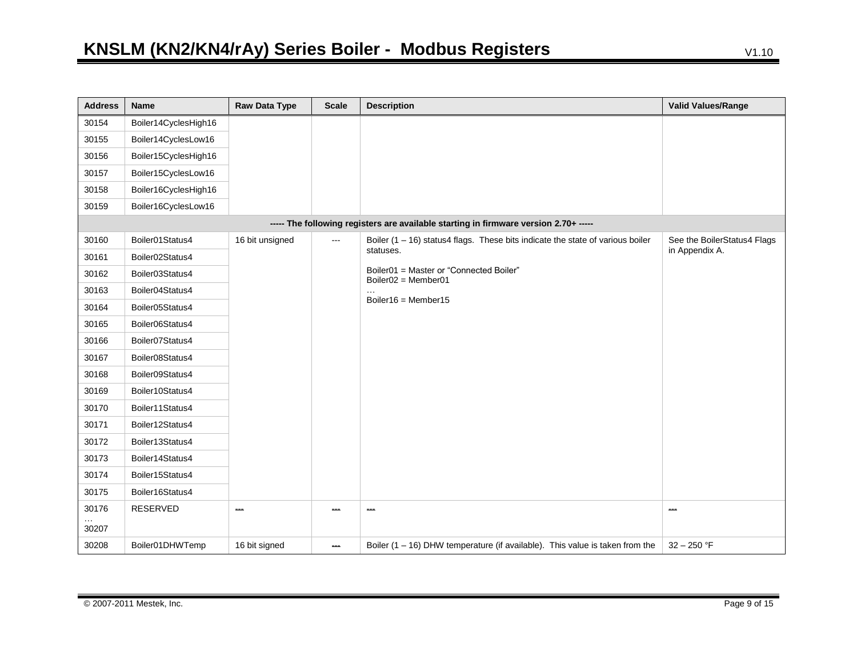| <b>Address</b> | Name                 | <b>Raw Data Type</b> | <b>Scale</b>             | <b>Description</b>                                                                   | <b>Valid Values/Range</b>   |
|----------------|----------------------|----------------------|--------------------------|--------------------------------------------------------------------------------------|-----------------------------|
| 30154          | Boiler14CyclesHigh16 |                      |                          |                                                                                      |                             |
| 30155          | Boiler14CyclesLow16  |                      |                          |                                                                                      |                             |
| 30156          | Boiler15CyclesHigh16 |                      |                          |                                                                                      |                             |
| 30157          | Boiler15CyclesLow16  |                      |                          |                                                                                      |                             |
| 30158          | Boiler16CyclesHigh16 |                      |                          |                                                                                      |                             |
| 30159          | Boiler16CyclesLow16  |                      |                          |                                                                                      |                             |
|                |                      |                      |                          | ----- The following registers are available starting in firmware version 2.70+ ----- |                             |
| 30160          | Boiler01Status4      | 16 bit unsigned      | $\overline{\phantom{a}}$ | Boiler $(1 - 16)$ status4 flags. These bits indicate the state of various boiler     | See the BoilerStatus4 Flags |
| 30161          | Boiler02Status4      |                      |                          | statuses.                                                                            | in Appendix A.              |
| 30162          | Boiler03Status4      |                      |                          | Boiler01 = Master or "Connected Boiler"<br>$Boiler02 = Member01$                     |                             |
| 30163          | Boiler04Status4      |                      |                          |                                                                                      |                             |
| 30164          | Boiler05Status4      |                      |                          | Boiler16 = Member15                                                                  |                             |
| 30165          | Boiler06Status4      |                      |                          |                                                                                      |                             |
| 30166          | Boiler07Status4      |                      |                          |                                                                                      |                             |
| 30167          | Boiler08Status4      |                      |                          |                                                                                      |                             |
| 30168          | Boiler09Status4      |                      |                          |                                                                                      |                             |
| 30169          | Boiler10Status4      |                      |                          |                                                                                      |                             |
| 30170          | Boiler11Status4      |                      |                          |                                                                                      |                             |
| 30171          | Boiler12Status4      |                      |                          |                                                                                      |                             |
| 30172          | Boiler13Status4      |                      |                          |                                                                                      |                             |
| 30173          | Boiler14Status4      |                      |                          |                                                                                      |                             |
| 30174          | Boiler15Status4      |                      |                          |                                                                                      |                             |
| 30175          | Boiler16Status4      |                      |                          |                                                                                      |                             |
| 30176          | <b>RESERVED</b>      | ---                  |                          | مسد                                                                                  | حدد                         |
| 30207          |                      |                      |                          |                                                                                      |                             |
| 30208          | Boiler01DHWTemp      | 16 bit signed        | $\overline{\phantom{a}}$ | Boiler $(1 - 16)$ DHW temperature (if available). This value is taken from the       | $32 - 250$ °F               |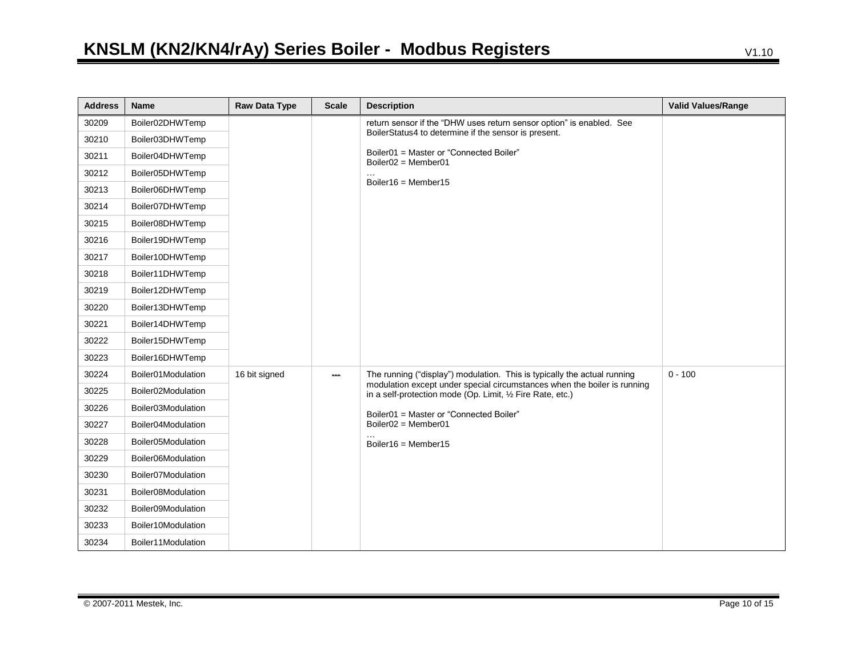| <b>Address</b> | <b>Name</b>        | Raw Data Type | <b>Scale</b> | <b>Description</b>                                                                                                                     | <b>Valid Values/Range</b> |
|----------------|--------------------|---------------|--------------|----------------------------------------------------------------------------------------------------------------------------------------|---------------------------|
| 30209          | Boiler02DHWTemp    |               |              | return sensor if the "DHW uses return sensor option" is enabled. See                                                                   |                           |
| 30210          | Boiler03DHWTemp    |               |              | BoilerStatus4 to determine if the sensor is present.                                                                                   |                           |
| 30211          | Boiler04DHWTemp    |               |              | Boiler01 = Master or "Connected Boiler"<br>$Boiler02 = Member01$                                                                       |                           |
| 30212          | Boiler05DHWTemp    |               |              |                                                                                                                                        |                           |
| 30213          | Boiler06DHWTemp    |               |              | Boiler16 = Member15                                                                                                                    |                           |
| 30214          | Boiler07DHWTemp    |               |              |                                                                                                                                        |                           |
| 30215          | Boiler08DHWTemp    |               |              |                                                                                                                                        |                           |
| 30216          | Boiler19DHWTemp    |               |              |                                                                                                                                        |                           |
| 30217          | Boiler10DHWTemp    |               |              |                                                                                                                                        |                           |
| 30218          | Boiler11DHWTemp    |               |              |                                                                                                                                        |                           |
| 30219          | Boiler12DHWTemp    |               |              |                                                                                                                                        |                           |
| 30220          | Boiler13DHWTemp    |               |              |                                                                                                                                        |                           |
| 30221          | Boiler14DHWTemp    |               |              |                                                                                                                                        |                           |
| 30222          | Boiler15DHWTemp    |               |              |                                                                                                                                        |                           |
| 30223          | Boiler16DHWTemp    |               |              |                                                                                                                                        |                           |
| 30224          | Boiler01Modulation | 16 bit signed | $\sim$       | The running ("display") modulation. This is typically the actual running                                                               | $0 - 100$                 |
| 30225          | Boiler02Modulation |               |              | modulation except under special circumstances when the boiler is running<br>in a self-protection mode (Op. Limit, 1/2 Fire Rate, etc.) |                           |
| 30226          | Boiler03Modulation |               |              | Boiler01 = Master or "Connected Boiler"                                                                                                |                           |
| 30227          | Boiler04Modulation |               |              | $Boiler02 = Member01$                                                                                                                  |                           |
| 30228          | Boiler05Modulation |               |              | Boiler16 = Member15                                                                                                                    |                           |
| 30229          | Boiler06Modulation |               |              |                                                                                                                                        |                           |
| 30230          | Boiler07Modulation |               |              |                                                                                                                                        |                           |
| 30231          | Boiler08Modulation |               |              |                                                                                                                                        |                           |
| 30232          | Boiler09Modulation |               |              |                                                                                                                                        |                           |
| 30233          | Boiler10Modulation |               |              |                                                                                                                                        |                           |
| 30234          | Boiler11Modulation |               |              |                                                                                                                                        |                           |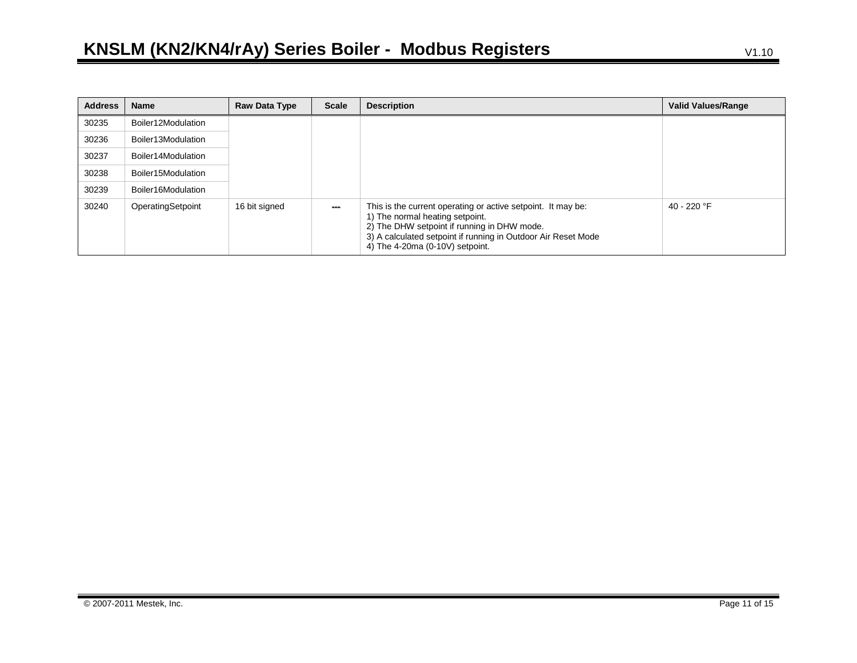| <b>Address</b> | <b>Name</b>        | Raw Data Type | <b>Scale</b> | <b>Description</b>                                                                                                                                                                                                                                 | Valid Values/Range |
|----------------|--------------------|---------------|--------------|----------------------------------------------------------------------------------------------------------------------------------------------------------------------------------------------------------------------------------------------------|--------------------|
| 30235          | Boiler12Modulation |               |              |                                                                                                                                                                                                                                                    |                    |
| 30236          | Boiler13Modulation |               |              |                                                                                                                                                                                                                                                    |                    |
| 30237          | Boiler14Modulation |               |              |                                                                                                                                                                                                                                                    |                    |
| 30238          | Boiler15Modulation |               |              |                                                                                                                                                                                                                                                    |                    |
| 30239          | Boiler16Modulation |               |              |                                                                                                                                                                                                                                                    |                    |
| 30240          | OperatingSetpoint  | 16 bit signed |              | This is the current operating or active setpoint. It may be:<br>1) The normal heating setpoint.<br>2) The DHW setpoint if running in DHW mode.<br>3) A calculated setpoint if running in Outdoor Air Reset Mode<br>4) The 4-20ma (0-10V) setpoint. | 40 - 220 °F        |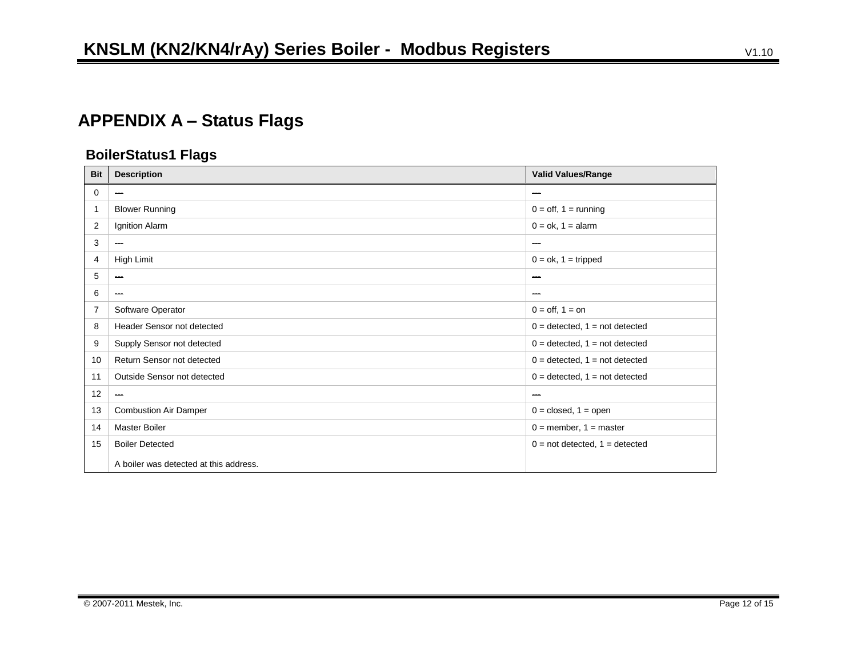# **APPENDIX A – Status Flags**

### **BoilerStatus1 Flags**

| <b>Bit</b>     | <b>Description</b>                     | <b>Valid Values/Range</b>                      |
|----------------|----------------------------------------|------------------------------------------------|
| 0              | ---                                    | ---                                            |
| 1              | <b>Blower Running</b>                  | $0 = \text{off}, 1 = \text{running}$           |
| $\overline{2}$ | Ignition Alarm                         | $0 = ok, 1 = alarm$                            |
| 3              | $\hspace{0.05cm}$                      | ---                                            |
| 4              | High Limit                             | $0 = ok, 1 = triple$                           |
| 5              | <b>START</b>                           | anana.                                         |
| 6              | $\overline{\phantom{a}}$               | $\overline{\phantom{a}}$                       |
| $\overline{7}$ | Software Operator                      | $0 = \text{off}, 1 = \text{on}$                |
| 8              | Header Sensor not detected             | $0 = \text{detected}, 1 = \text{not detected}$ |
| 9              | Supply Sensor not detected             | $0 = \text{detected}, 1 = \text{not detected}$ |
| 10             | Return Sensor not detected             | $0 = \text{detected}, 1 = \text{not detected}$ |
| 11             | Outside Sensor not detected            | $0 = \text{detected}, 1 = \text{not detected}$ |
| 12             | $\hspace{0.05cm}$                      | --                                             |
| 13             | <b>Combustion Air Damper</b>           | $0 = closed, 1 = open$                         |
| 14             | <b>Master Boiler</b>                   | $0 =$ member, $1 =$ master                     |
| 15             | <b>Boiler Detected</b>                 | $0 = not detected, 1 = detected$               |
|                | A boiler was detected at this address. |                                                |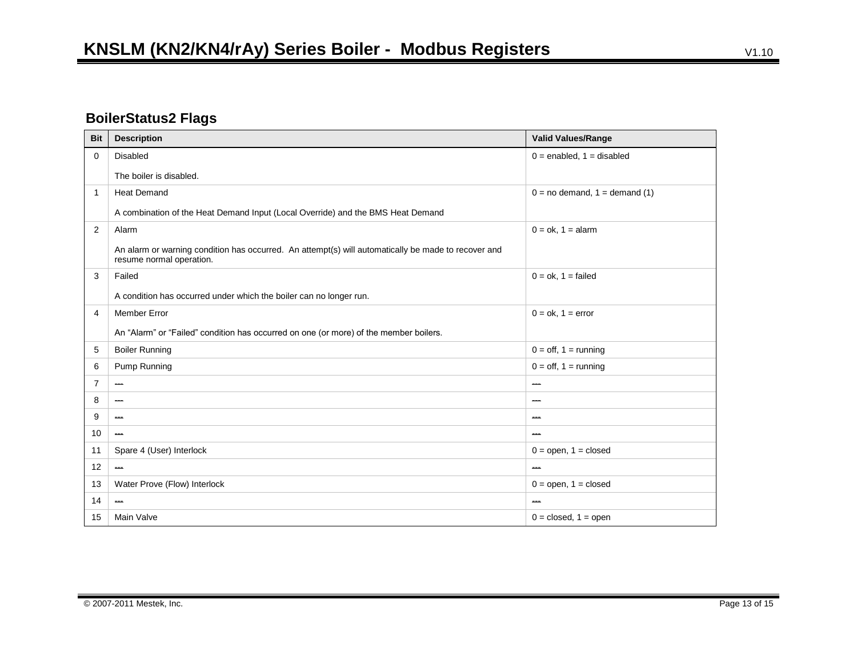## **BoilerStatus2 Flags**

| <b>Bit</b>     | <b>Description</b>                                                                                                              | <b>Valid Values/Range</b>            |
|----------------|---------------------------------------------------------------------------------------------------------------------------------|--------------------------------------|
| 0              | Disabled                                                                                                                        | $0 =$ enabled, $1 =$ disabled        |
|                | The boiler is disabled.                                                                                                         |                                      |
| 1              | <b>Heat Demand</b>                                                                                                              | $0 = no$ demand, $1 =$ demand (1)    |
|                | A combination of the Heat Demand Input (Local Override) and the BMS Heat Demand                                                 |                                      |
| 2              | Alarm                                                                                                                           | $0 = ok, 1 = alarm$                  |
|                | An alarm or warning condition has occurred. An attempt(s) will automatically be made to recover and<br>resume normal operation. |                                      |
| 3              | Failed                                                                                                                          | $0 = ok$ , $1 = failed$              |
|                | A condition has occurred under which the boiler can no longer run.                                                              |                                      |
| 4              | <b>Member Error</b>                                                                                                             | $0 = ok, 1 = error$                  |
|                | An "Alarm" or "Failed" condition has occurred on one (or more) of the member boilers.                                           |                                      |
| 5              | <b>Boiler Running</b>                                                                                                           | $0 = \text{off}, 1 = \text{running}$ |
| 6              | Pump Running                                                                                                                    | $0 =$ off, $1 =$ running             |
| $\overline{7}$ | ---                                                                                                                             | ---                                  |
| 8              | $-$                                                                                                                             | ---                                  |
| 9              | <b>Albert</b>                                                                                                                   | لمسم                                 |
| 10             | $\overline{\phantom{a}}$                                                                                                        | ---                                  |
| 11             | Spare 4 (User) Interlock                                                                                                        | $0 =$ open, $1 =$ closed             |
| 12             | $\overline{\phantom{a}}$                                                                                                        | --                                   |
| 13             | Water Prove (Flow) Interlock                                                                                                    | $0 =$ open, $1 =$ closed             |
| 14             | $-$                                                                                                                             | ---                                  |
| 15             | Main Valve                                                                                                                      | $0 = closed, 1 = open$               |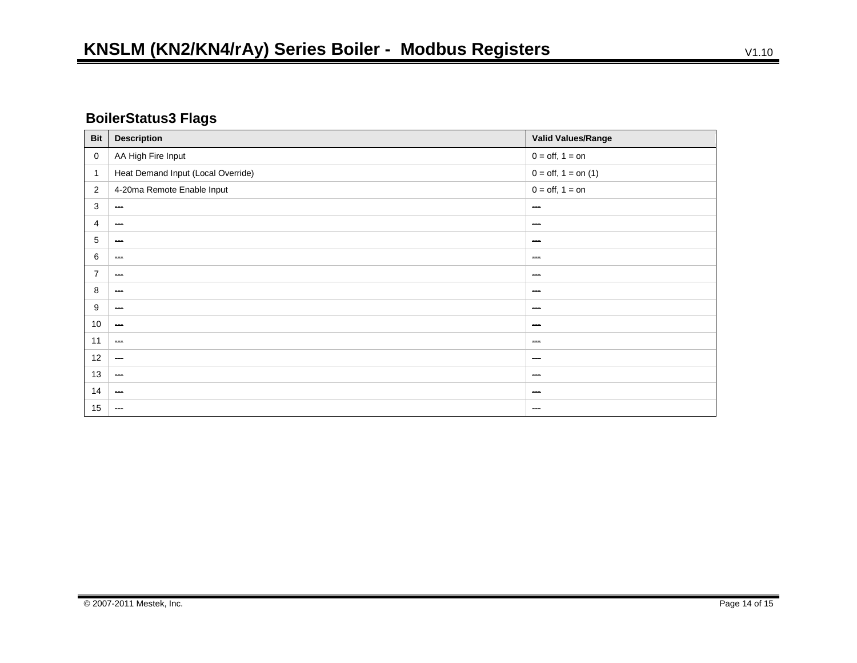## **BoilerStatus3 Flags**

| <b>Bit</b>     | <b>Description</b>                 | Valid Values/Range     |
|----------------|------------------------------------|------------------------|
| $\mathbf 0$    | AA High Fire Input                 | $0 = off, 1 = on$      |
| 1              | Heat Demand Input (Local Override) | $0 = off, 1 = on (1)$  |
| 2              | 4-20ma Remote Enable Input         | $0 = off, 1 = on$      |
| 3              | $\overline{\phantom{a}}$           | ---                    |
| 4              | $\hspace{0.05cm}$                  | $\qquad \qquad \cdots$ |
| 5              | $\sim$                             | $\sim$                 |
| 6              | $\sim$                             | $-$                    |
| $\overline{7}$ | $\sim$                             | <b>ABA</b>             |
| 8              | $\sim$                             | $\sim$                 |
| 9              | $\hspace{0.05cm}$                  | ---                    |
| 10             | $\hspace{0.05cm}$                  | $\qquad \qquad$        |
| 11             | $\sim$                             | $\sim$                 |
| 12             | $\overline{\phantom{a}}$           | ---                    |
| 13             | $\overline{\phantom{m}}$           | ---                    |
| 14             | $\sim$                             | $-$                    |
| 15             | $\overline{\phantom{m}}$           | $\qquad \qquad$        |